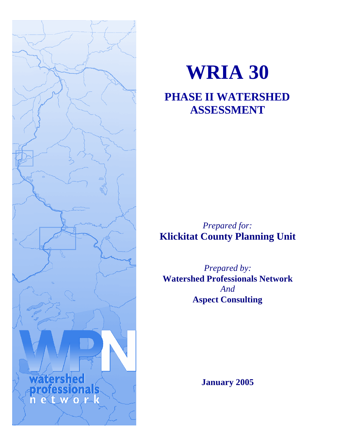

# **WRIA 30 PHASE II WATERSHED ASSESSMENT**

*Prepared for:* **Klickitat County Planning Unit**

*Prepared by:* **Watershed Professionals Network** *And* **Aspect Consulting**

**January 2005**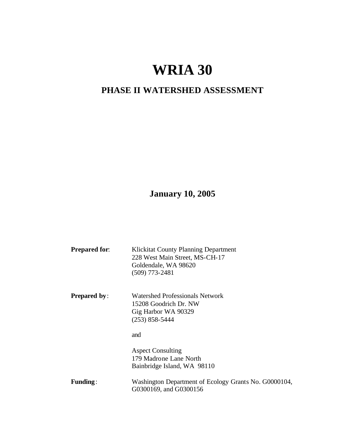# **WRIA 30**

## **PHASE II WATERSHED ASSESSMENT**

## **January 10, 2005**

| <b>Prepared for:</b> | <b>Klickitat County Planning Department</b><br>228 West Main Street, MS-CH-17<br>Goldendale, WA 98620<br>$(509)$ 773-2481 |
|----------------------|---------------------------------------------------------------------------------------------------------------------------|
| <b>Prepared by:</b>  | Watershed Professionals Network<br>15208 Goodrich Dr. NW<br>Gig Harbor WA 90329<br>$(253)$ 858-5444                       |
|                      | and<br><b>Aspect Consulting</b><br>179 Madrone Lane North                                                                 |
| <b>Funding:</b>      | Bainbridge Island, WA 98110<br>Washington Department of Ecology Grants No. G0000104,<br>G0300169, and G0300156            |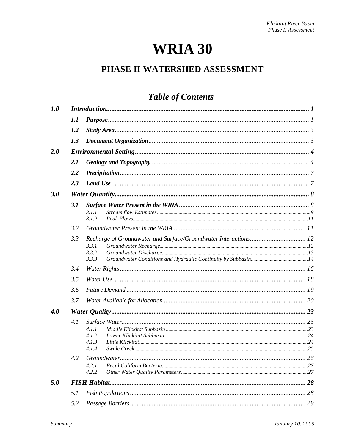## **WRIA 30**

### PHASE II WATERSHED ASSESSMENT

## **Table of Contents**

| 1.0 |     |                                                                                            |  |
|-----|-----|--------------------------------------------------------------------------------------------|--|
|     | 1.1 |                                                                                            |  |
|     | 1.2 |                                                                                            |  |
|     | 1.3 |                                                                                            |  |
| 2.0 |     |                                                                                            |  |
|     | 2.1 |                                                                                            |  |
|     | 2.2 |                                                                                            |  |
|     | 2.3 |                                                                                            |  |
| 3.0 |     |                                                                                            |  |
|     | 3.1 | 3.1.1<br>3.1.2                                                                             |  |
|     | 3.2 |                                                                                            |  |
|     | 3.3 | Recharge of Groundwater and Surface/Groundwater Interactions 12<br>3.3.1<br>3.3.2<br>3.3.3 |  |
|     | 3.4 |                                                                                            |  |
|     | 3.5 |                                                                                            |  |
|     | 3.6 |                                                                                            |  |
|     | 3.7 |                                                                                            |  |
| 4.0 |     |                                                                                            |  |
|     | 4.1 | 4.1.1<br>4.1.2<br>4.1.3<br>4.1.4                                                           |  |
|     |     | 4.2.1<br>4.2.2                                                                             |  |
| 5.0 |     |                                                                                            |  |
|     | 5.1 |                                                                                            |  |
|     | 5.2 |                                                                                            |  |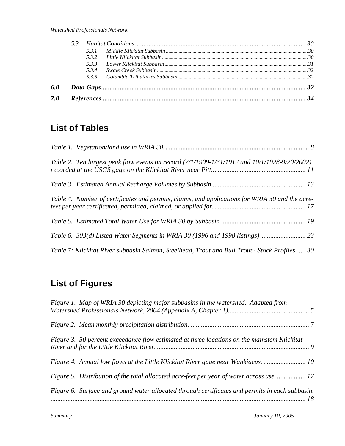| 533 |  |
|-----|--|
| 534 |  |
|     |  |
|     |  |
|     |  |

## **List of Tables**

| Table 2. Ten largest peak flow events on record (7/1/1909-1/31/1912 and 10/1/1928-9/20/2002)    |  |
|-------------------------------------------------------------------------------------------------|--|
|                                                                                                 |  |
| Table 4. Number of certificates and permits, claims, and applications for WRIA 30 and the acre- |  |
|                                                                                                 |  |
|                                                                                                 |  |
| Table 7: Klickitat River subbasin Salmon, Steelhead, Trout and Bull Trout - Stock Profiles 30   |  |

## **List of Figures**

| Figure 1. Map of WRIA 30 depicting major subbasins in the watershed. Adapted from               |  |
|-------------------------------------------------------------------------------------------------|--|
|                                                                                                 |  |
| Figure 3. 50 percent exceedance flow estimated at three locations on the mainstem Klickitat     |  |
| Figure 4. Annual low flows at the Little Klickitat River gage near Wahkiacus.  10               |  |
| Figure 5. Distribution of the total allocated acre-feet per year of water across use 17         |  |
| Figure 6. Surface and ground water allocated through certificates and permits in each subbasin. |  |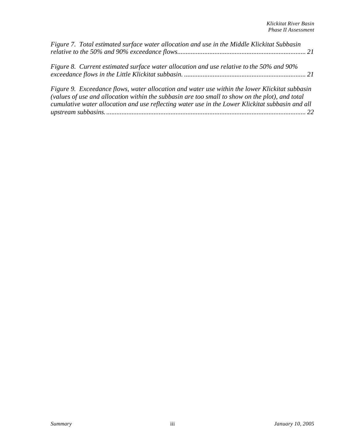| Figure 7. Total estimated surface water allocation and use in the Middle Klickitat Subbasin                                                                                                                                                                                                           |  |
|-------------------------------------------------------------------------------------------------------------------------------------------------------------------------------------------------------------------------------------------------------------------------------------------------------|--|
| Figure 8. Current estimated surface water allocation and use relative to the 50% and 90%                                                                                                                                                                                                              |  |
| Figure 9. Exceedance flows, water allocation and water use within the lower Klickitat subbasin<br>(values of use and allocation within the subbasin are too small to show on the plot), and total<br>cumulative water allocation and use reflecting water use in the Lower Klickitat subbasin and all |  |
|                                                                                                                                                                                                                                                                                                       |  |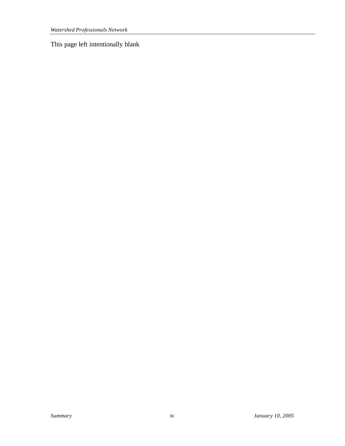This page left intentionally blank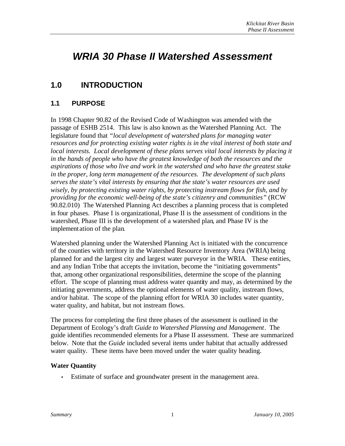## *WRIA 30 Phase II Watershed Assessment*

## **1.0 INTRODUCTION**

#### **1.1 PURPOSE**

In 1998 Chapter 90.82 of the Revised Code of Washington was amended with the passage of ESHB 2514. This law is also known as the Watershed Planning Act. The legislature found that *"local development of watershed plans for managing water resources and for protecting existing water rights is in the vital interest of both state and local interests. Local development of these plans serves vital local interests by placing it in the hands of people who have the greatest knowledge of both the resources and the aspirations of those who live and work in the watershed and who have the greatest stake in the proper, long term management of the resources. The development of such plans serves the state's vital interests by ensuring that the state's water resources are used wisely, by protecting existing water rights, by protecting instream flows for fish, and by providing for the economic well-being of the state's citizenry and communities"* (RCW 90.82.010) The Watershed Planning Act describes a planning process that is completed in four phases. Phase I is organizational, Phase II is the assessment of conditions in the watershed, Phase III is the development of a watershed plan, and Phase IV is the implementation of the plan.

Watershed planning under the Watershed Planning Act is initiated with the concurrence of the counties with territory in the Watershed Resource Inventory Area (WRIA) being planned for and the largest city and largest water purveyor in the WRIA. These entities, and any Indian Tribe that accepts the invitation, become the "initiating governments" that, among other organizational responsibilities, determine the scope of the planning effort. The scope of planning must address water quantity and may, as determined by the initiating governments, address the optional elements of water quality, instream flows, and/or habitat. The scope of the planning effort for WRIA 30 includes water quantity, water quality, and habitat, but not instream flows.

The process for completing the first three phases of the assessment is outlined in the Department of Ecology's draft *Guide to Watershed Planning and Management*. The guide identifies recommended elements for a Phase II assessment. These are summarized below. Note that the *Guide* included several items under habitat that actually addressed water quality. These items have been moved under the water quality heading.

#### **Water Quantity**

• Estimate of surface and groundwater present in the management area.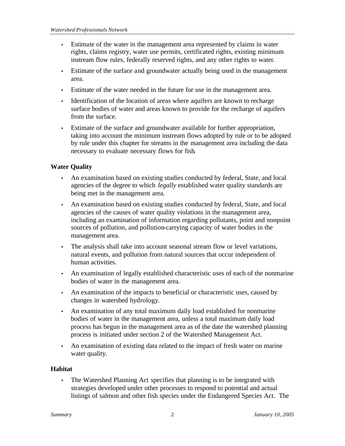- Estimate of the water in the management area represented by claims in water rights, claims registry, water use permits, certificated rights, existing minimum instream flow rules, federally reserved rights, and any other rights to water.
- Estimate of the surface and groundwater actually being used in the management area.
- Estimate of the water needed in the future for use in the management area.
- Identification of the location of areas where aquifers are known to recharge surface bodies of water and areas known to provide for the recharge of aquifers from the surface.
- Estimate of the surface and groundwater available for further appropriation, taking into account the minimum instream flows adopted by rule or to be adopted by rule under this chapter for streams in the management area including the data necessary to evaluate necessary flows for fish.

#### **Water Quality**

- An examination based on existing studies conducted by federal, State, and local agencies of the degree to which *legally* established water quality standards are being met in the management area.
- An examination based on existing studies conducted by federal, State, and local agencies of the causes of water quality violations in the management area, including an examination of information regarding pollutants, point and nonpoint sources of pollution, and pollution-carrying capacity of water bodies in the management area.
- The analysis shall take into account seasonal stream flow or level variations, natural events, and pollution from natural sources that occur independent of human activities.
- An examination of legally established characteristic uses of each of the nonmarine bodies of water in the management area.
- An examination of the impacts to beneficial or characteristic uses, caused by changes in watershed hydrology.
- An examination of any total maximum daily load established for nonmarine bodies of water in the management area, unless a total maximum daily load process has begun in the management area as of the date the watershed planning process is initiated under section 2 of the Watershed Management Act.
- An examination of existing data related to the impact of fresh water on marine water quality.

#### **Habitat**

• The Watershed Planning Act specifies that planning is to be integrated with strategies developed under other processes to respond to potential and actual listings of salmon and other fish species under the Endangered Species Act. The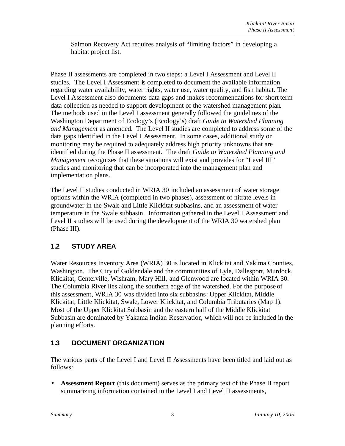Salmon Recovery Act requires analysis of "limiting factors" in developing a habitat project list.

Phase II assessments are completed in two steps: a Level I Assessment and Level II studies. The Level I Assessment is completed to document the available information regarding water availability, water rights, water use, water quality, and fish habitat. The Level I Assessment also documents data gaps and makes recommendations for short term data collection as needed to support development of the watershed management plan. The methods used in the Level I assessment generally followed the guidelines of the Washington Department of Ecology's (Ecology's) draft *Guide to Watershed Planning and Management* as amended. The Level II studies are completed to address some of the data gaps identified in the Level I Assessment. In some cases, additional study or monitoring may be required to adequately address high priority unknowns that are identified during the Phase II assessment. The draft *Guide to Watershed Planning and Management* recognizes that these situations will exist and provides for "Level III" studies and monitoring that can be incorporated into the management plan and implementation plans.

The Level II studies conducted in WRIA 30 included an assessment of water storage options within the WRIA (completed in two phases), assessment of nitrate levels in groundwater in the Swale and Little Klickitat subbasins, and an assessment of water temperature in the Swale subbasin. Information gathered in the Level I Assessment and Level II studies will be used during the development of the WRIA 30 watershed plan (Phase III).

#### **1.2 STUDY AREA**

Water Resources Inventory Area (WRIA) 30 is located in Klickitat and Yakima Counties, Washington. The City of Goldendale and the communities of Lyle, Dallesport, Murdock, Klickitat, Centerville, Wishram, Mary Hill, and Glenwood are located within WRIA 30. The Columbia River lies along the southern edge of the watershed. For the purpose of this assessment, WRIA 30 was divided into six subbasins: Upper Klickitat, Middle Klickitat, Little Klickitat, Swale, Lower Klickitat, and Columbia Tributaries (Map 1). Most of the Upper Klickitat Subbasin and the eastern half of the Middle Klickitat Subbasin are dominated by Yakama Indian Reservation, which will not be included in the planning efforts.

#### **1.3 DOCUMENT ORGANIZATION**

The various parts of the Level I and Level II Assessments have been titled and laid out as follows:

• **Assessment Report** (this document) serves as the primary text of the Phase II report summarizing information contained in the Level I and Level II assessments,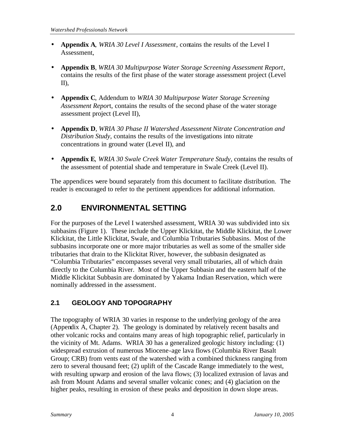- **Appendix A**, *WRIA 30 Level I Assessment*, contains the results of the Level I Assessment,
- **Appendix B**, *WRIA 30 Multipurpose Water Storage Screening Assessment Report*, contains the results of the first phase of the water storage assessment project (Level II),
- **Appendix C**, Addendum to *WRIA 30 Multipurpose Water Storage Screening Assessment Repor*t, contains the results of the second phase of the water storage assessment project (Level II),
- **Appendix D**, *WRIA 30 Phase II Watershed Assessment Nitrate Concentration and Distribution Study*, contains the results of the investigations into nitrate concentrations in ground water (Level II), and
- **Appendix E**, *WRIA 30 Swale Creek Water Temperature Study*, contains the results of the assessment of potential shade and temperature in Swale Creek (Level II).

The appendices were bound separately from this document to facilitate distribution. The reader is encouraged to refer to the pertinent appendices for additional information.

### **2.0 ENVIRONMENTAL SETTING**

For the purposes of the Level I watershed assessment, WRIA 30 was subdivided into six subbasins (Figure 1). These include the Upper Klickitat, the Middle Klickitat, the Lower Klickitat, the Little Klickitat, Swale, and Columbia Tributaries Subbasins. Most of the subbasins incorporate one or more major tributaries as well as some of the smaller side tributaries that drain to the Klickitat River, however, the subbasin designated as "Columbia Tributaries" encompasses several very small tributaries, all of which drain directly to the Columbia River. Most of the Upper Subbasin and the eastern half of the Middle Klickitat Subbasin are dominated by Yakama Indian Reservation, which were nominally addressed in the assessment.

#### **2.1 GEOLOGY AND TOPOGRAPHY**

The topography of WRIA 30 varies in response to the underlying geology of the area (Appendix A, Chapter 2). The geology is dominated by relatively recent basalts and other volcanic rocks and contains many areas of high topographic relief, particularly in the vicinity of Mt. Adams. WRIA 30 has a generalized geologic history including: (1) widespread extrusion of numerous Miocene-age lava flows (Columbia River Basalt Group; CRB) from vents east of the watershed with a combined thickness ranging from zero to several thousand feet; (2) uplift of the Cascade Range immediately to the west, with resulting upwarp and erosion of the lava flows; (3) localized extrusion of lavas and ash from Mount Adams and several smaller volcanic cones; and (4) glaciation on the higher peaks, resulting in erosion of these peaks and deposition in down slope areas.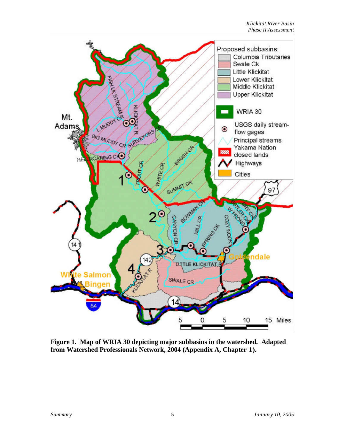

**Figure 1. Map of WRIA 30 depicting major subbasins in the watershed. Adapted from Watershed Professionals Network, 2004 (Appendix A, Chapter 1).**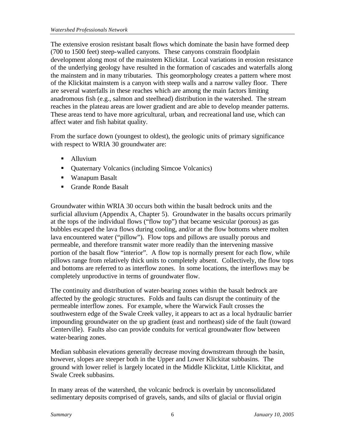The extensive erosion resistant basalt flows which dominate the basin have formed deep (700 to 1500 feet) steep-walled canyons. These canyons constrain floodplain development along most of the mainstem Klickitat. Local variations in erosion resistance of the underlying geology have resulted in the formation of cascades and waterfalls along the mainstem and in many tributaries. This geomorphology creates a pattern where most of the Klickitat mainstem is a canyon with steep walls and a narrow valley floor. There are several waterfalls in these reaches which are among the main factors limiting anadromous fish (e.g., salmon and steelhead) distribution in the watershed. The stream reaches in the plateau areas are lower gradient and are able to develop meander patterns. These areas tend to have more agricultural, urban, and recreational land use, which can affect water and fish habitat quality.

From the surface down (youngest to oldest), the geologic units of primary significance with respect to WRIA 30 groundwater are:

- Alluvium
- Quaternary Volcanics (including Simcoe Volcanics)
- Wanapum Basalt
- Grande Ronde Basalt

Groundwater within WRIA 30 occurs both within the basalt bedrock units and the surficial alluvium (Appendix A, Chapter 5). Groundwater in the basalts occurs primarily at the tops of the individual flows ("flow top") that became vesicular (porous) as gas bubbles escaped the lava flows during cooling, and/or at the flow bottoms where molten lava encountered water ("pillow"). Flow tops and pillows are usually porous and permeable, and therefore transmit water more readily than the intervening massive portion of the basalt flow "interior". A flow top is normally present for each flow, while pillows range from relatively thick units to completely absent. Collectively, the flow tops and bottoms are referred to as interflow zones. In some locations, the interflows may be completely unproductive in terms of groundwater flow.

The continuity and distribution of water-bearing zones within the basalt bedrock are affected by the geologic structures. Folds and faults can disrupt the continuity of the permeable interflow zones. For example, where the Warwick Fault crosses the southwestern edge of the Swale Creek valley, it appears to act as a local hydraulic barrier impounding groundwater on the up gradient (east and northeast) side of the fault (toward Centerville). Faults also can provide conduits for vertical groundwater flow between water-bearing zones.

Median subbasin elevations generally decrease moving downstream through the basin, however, slopes are steeper both in the Upper and Lower Klickitat subbasins. The ground with lower relief is largely located in the Middle Klickitat, Little Klickitat, and Swale Creek subbasins.

In many areas of the watershed, the volcanic bedrock is overlain by unconsolidated sedimentary deposits comprised of gravels, sands, and silts of glacial or fluvial origin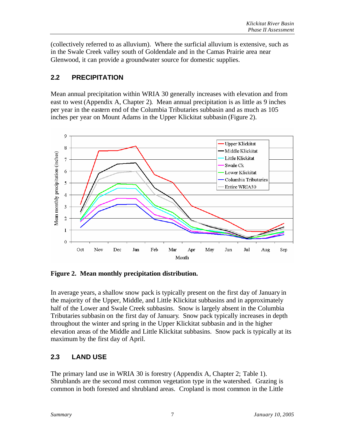(collectively referred to as alluvium). Where the surficial alluvium is extensive, such as in the Swale Creek valley south of Goldendale and in the Camas Prairie area near Glenwood, it can provide a groundwater source for domestic supplies.

#### **2.2 PRECIPITATION**

Mean annual precipitation within WRIA 30 generally increases with elevation and from east to west (Appendix A, Chapter 2). Mean annual precipitation is as little as 9 inches per year in the eastern end of the Columbia Tributaries subbasin and as much as 105 inches per year on Mount Adams in the Upper Klickitat subbasin (Figure 2).



**Figure 2. Mean monthly precipitation distribution.** 

In average years, a shallow snow pack is typically present on the first day of January in the majority of the Upper, Middle, and Little Klickitat subbasins and in approximately half of the Lower and Swale Creek subbasins. Snow is largely absent in the Columbia Tributaries subbasin on the first day of January. Snow pack typically increases in depth throughout the winter and spring in the Upper Klickitat subbasin and in the higher elevation areas of the Middle and Little Klickitat subbasins. Snow pack is typically at its maximum by the first day of April.

#### **2.3 LAND USE**

The primary land use in WRIA 30 is forestry (Appendix A, Chapter 2; Table 1). Shrublands are the second most common vegetation type in the watershed. Grazing is common in both forested and shrubland areas. Cropland is most common in the Little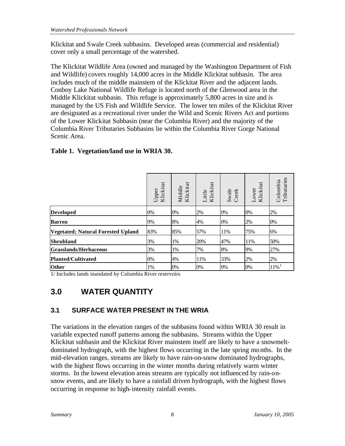Klickitat and Swale Creek subbasins. Developed areas (commercial and residential) cover only a small percentage of the watershed.

The Klickitat Wildlife Area (owned and managed by the Washington Department of Fish and Wildlife) covers roughly 14,000 acres in the Middle Klickitat subbasin. The area includes much of the middle mainstem of the Klickitat River and the adjacent lands. Conboy Lake National Wildlife Refuge is located north of the Glenwood area in the Middle Klickitat subbasin. This refuge is approximately 5,800 acres in size and is managed by the US Fish and Wildlife Service. The lower ten miles of the Klickitat River are designated as a recreational river under the Wild and Scenic Rivers Act and portions of the Lower Klickitat Subbasin (near the Columbia River) and the majority of the Columbia River Tributaries Subbasins lie within the Columbia River Gorge National Scenic Area.

#### **Table 1. Vegetation/land use in WRIA 30.**

|                                    | Upper<br>Klickitat | Klickitat<br>Middle | Little<br>Klickitat | Swale<br>Creek | Klickitat<br>Lower | Tributaries<br>Columbia |
|------------------------------------|--------------------|---------------------|---------------------|----------------|--------------------|-------------------------|
| <b>Developed</b>                   | 0%                 | 0%                  | 2%                  | 0%             | 0%                 | 2%                      |
| <b>Barren</b>                      | 9%                 | 8%                  | 4%                  | 0%             | 2%                 | 0%                      |
| Vegetated; Natural Forested Upland | 83%                | 85%                 | 57%                 | 11%            | 75%                | 6%                      |
| Shrubland                          | 3%                 | 1%                  | 20%                 | 47%            | 11%                | 50%                     |
| <b>Grasslands/Herbaceous</b>       | 3%                 | 1%                  | 7%                  | 8%             | 9%                 | 27%                     |
| Planted/Cultivated                 | 0%                 | 4%                  | 11%                 | 33%            | 2%                 | 2%                      |
| <b>Other</b>                       | 1%                 | 0%                  | 0%                  | 0%             | 0%                 | $11\%$ <sup>1</sup>     |

1/ Includes lands inundated by Columbia River reservoirs

### **3.0 WATER QUANTITY**

#### **3.1 SURFACE WATER PRESENT IN THE WRIA**

The variations in the elevation ranges of the subbasins found within WRIA 30 result in variable expected runoff patterns among the subbasins. Streams within the Upper Klickitat subbasin and the Klickitat River mainstem itself are likely to have a snowmeltdominated hydrograph, with the highest flows occurring in the late spring months. In the mid-elevation ranges, streams are likely to have rain-on-snow dominated hydrographs, with the highest flows occurring in the winter months during relatively warm winter storms. In the lowest elevation areas streams are typically not influenced by rain-onsnow events, and are likely to have a rainfall driven hydrograph, with the highest flows occurring in response to high-intensity rainfall events.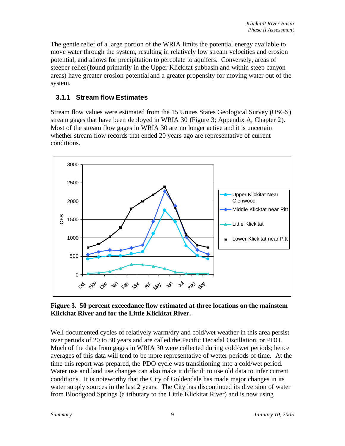The gentle relief of a large portion of the WRIA limits the potential energy available to move water through the system, resulting in relatively low stream velocities and erosion potential, and allows for precipitation to percolate to aquifers. Conversely, areas of steeper relief(found primarily in the Upper Klickitat subbasin and within steep canyon areas) have greater erosion potential and a greater propensity for moving water out of the system.

#### **3.1.1 Stream flow Estimates**

Stream flow values were estimated from the 15 Unites States Geological Survey (USGS) stream gages that have been deployed in WRIA 30 (Figure 3; Appendix A, Chapter 2). Most of the stream flow gages in WRIA 30 are no longer active and it is uncertain whether stream flow records that ended 20 years ago are representative of current conditions.



#### **Figure 3. 50 percent exceedance flow estimated at three locations on the mainstem Klickitat River and for the Little Klickitat River.**

Well documented cycles of relatively warm/dry and cold/wet weather in this area persist over periods of 20 to 30 years and are called the Pacific Decadal Oscillation, or PDO. Much of the data from gages in WRIA 30 were collected during cold/wet periods; hence averages of this data will tend to be more representative of wetter periods of time. At the time this report was prepared, the PDO cycle was transitioning into a cold/wet period. Water use and land use changes can also make it difficult to use old data to infer current conditions. It is noteworthy that the City of Goldendale has made major changes in its water supply sources in the last 2 years. The City has discontinued its diversion of water from Bloodgood Springs (a tributary to the Little Klickitat River) and is now using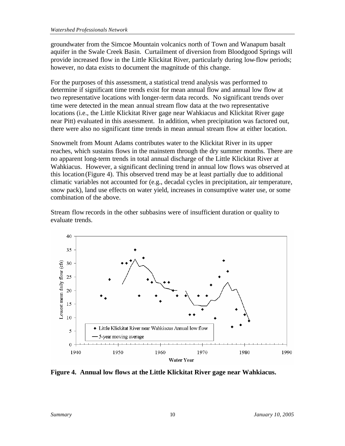groundwater from the Simcoe Mountain volcanics north of Town and Wanapum basalt aquifer in the Swale Creek Basin. Curtailment of diversion from Bloodgood Springs will provide increased flow in the Little Klickitat River, particularly during low-flow periods; however, no data exists to document the magnitude of this change.

For the purposes of this assessment, a statistical trend analysis was performed to determine if significant time trends exist for mean annual flow and annual low flow at two representative locations with longer-term data records. No significant trends over time were detected in the mean annual stream flow data at the two representative locations (i.e., the Little Klickitat River gage near Wahkiacus and Klickitat River gage near Pitt) evaluated in this assessment. In addition, when precipitation was factored out, there were also no significant time trends in mean annual stream flow at either location.

Snowmelt from Mount Adams contributes water to the Klickitat River in its upper reaches, which sustains flows in the mainstem through the dry summer months. There are no apparent long-term trends in total annual discharge of the Little Klickitat River at Wahkiacus. However, a significant declining trend in annual low flows was observed at this location (Figure 4). This observed trend may be at least partially due to additional climatic variables not accounted for (e.g., decadal cycles in precipitation, air temperature, snow pack), land use effects on water yield, increases in consumptive water use, or some combination of the above.

Stream flow records in the other subbasins were of insufficient duration or quality to evaluate trends.



**Figure 4. Annual low flows at the Little Klickitat River gage near Wahkiacus.**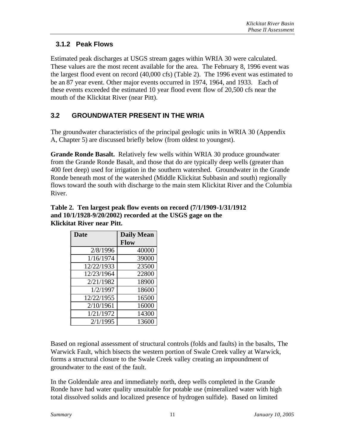#### **3.1.2 Peak Flows**

Estimated peak discharges at USGS stream gages within WRIA 30 were calculated. These values are the most recent available for the area. The February 8, 1996 event was the largest flood event on record (40,000 cfs) (Table 2). The 1996 event was estimated to be an 87 year event. Other major events occurred in 1974, 1964, and 1933. Each of these events exceeded the estimated 10 year flood event flow of 20,500 cfs near the mouth of the Klickitat River (near Pitt).

#### **3.2 GROUNDWATER PRESENT IN THE WRIA**

The groundwater characteristics of the principal geologic units in WRIA 30 (Appendix A, Chapter 5) are discussed briefly below (from oldest to youngest).

**Grande Ronde Basalt.** Relatively few wells within WRIA 30 produce groundwater from the Grande Ronde Basalt, and those that do are typically deep wells (greater than 400 feet deep) used for irrigation in the southern watershed. Groundwater in the Grande Ronde beneath most of the watershed (Middle Klickitat Subbasin and south) regionally flows toward the south with discharge to the main stem Klickitat River and the Columbia River.

| Table 2. Ten largest peak flow events on record (7/1/1909-1/31/1912) |
|----------------------------------------------------------------------|
| and 10/1/1928-9/20/2002) recorded at the USGS gage on the            |
| Klickitat River near Pitt.                                           |

| <b>Date</b> | <b>Daily Mean</b> |
|-------------|-------------------|
|             | Flow              |
| 2/8/1996    | 40000             |
| 1/16/1974   | 39000             |
| 12/22/1933  | 23500             |
| 12/23/1964  | 22800             |
| 2/21/1982   | 18900             |
| 1/2/1997    | 18600             |
| 12/22/1955  | 16500             |
| 2/10/1961   | 16000             |
| 1/21/1972   | 14300             |
| 2/1/1995    | 13600             |

Based on regional assessment of structural controls (folds and faults) in the basalts, The Warwick Fault, which bisects the western portion of Swale Creek valley at Warwick, forms a structural closure to the Swale Creek valley creating an impoundment of groundwater to the east of the fault.

In the Goldendale area and immediately north, deep wells completed in the Grande Ronde have had water quality unsuitable for potable use (mineralized water with high total dissolved solids and localized presence of hydrogen sulfide). Based on limited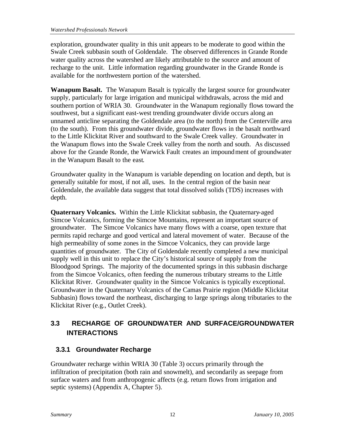exploration, groundwater quality in this unit appears to be moderate to good within the Swale Creek subbasin south of Goldendale. The observed differences in Grande Ronde water quality across the watershed are likely attributable to the source and amount of recharge to the unit. Little information regarding groundwater in the Grande Ronde is available for the northwestern portion of the watershed.

**Wanapum Basalt.** The Wanapum Basalt is typically the largest source for groundwater supply, particularly for large irrigation and municipal withdrawals, across the mid and southern portion of WRIA 30. Groundwater in the Wanapum regionally flows toward the southwest, but a significant east-west trending groundwater divide occurs along an unnamed anticline separating the Goldendale area (to the north) from the Centerville area (to the south). From this groundwater divide, groundwater flows in the basalt northward to the Little Klickitat River and southward to the Swale Creek valley. Groundwater in the Wanapum flows into the Swale Creek valley from the north and south. As discussed above for the Grande Ronde, the Warwick Fault creates an impoundment of groundwater in the Wanapum Basalt to the east.

Groundwater quality in the Wanapum is variable depending on location and depth, but is generally suitable for most, if not all, uses. In the central region of the basin near Goldendale, the available data suggest that total dissolved solids (TDS) increases with depth.

**Quaternary Volcanics.** Within the Little Klickitat subbasin, the Quaternary-aged Simcoe Volcanics, forming the Simcoe Mountains, represent an important source of groundwater. The Simcoe Volcanics have many flows with a coarse, open texture that permits rapid recharge and good vertical and lateral movement of water. Because of the high permeability of some zones in the Simcoe Volcanics, they can provide large quantities of groundwater. The City of Goldendale recently completed a new municipal supply well in this unit to replace the City's historical source of supply from the Bloodgood Springs. The majority of the documented springs in this subbasin discharge from the Simcoe Volcanics, often feeding the numerous tributary streams to the Little Klickitat River. Groundwater quality in the Simcoe Volcanics is typically exceptional. Groundwater in the Quaternary Volcanics of the Camas Prairie region (Middle Klickitat Subbasin) flows toward the northeast, discharging to large springs along tributaries to the Klickitat River (e.g., Outlet Creek).

#### **3.3 RECHARGE OF GROUNDWATER AND SURFACE/GROUNDWATER INTERACTIONS**

#### **3.3.1 Groundwater Recharge**

Groundwater recharge within WRIA 30 (Table 3) occurs primarily through the infiltration of precipitation (both rain and snowmelt), and secondarily as seepage from surface waters and from anthropogenic affects (e.g. return flows from irrigation and septic systems) (Appendix A, Chapter 5).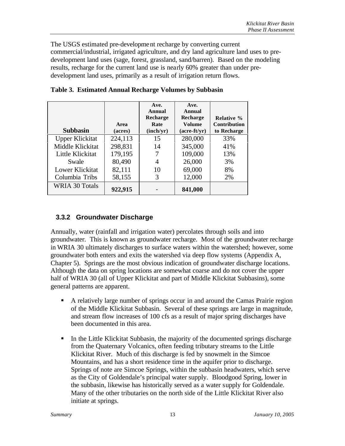The USGS estimated pre-development recharge by converting current commercial/industrial, irrigated agriculture, and dry land agriculture land uses to predevelopment land uses (sage, forest, grassland, sand/barren). Based on the modeling results, recharge for the current land use is nearly 60% greater than under predevelopment land uses, primarily as a result of irrigation return flows.

| <b>Subbasin</b>        | Area<br>(acres) | Ave.<br>Annual<br>Recharge<br>Rate<br>(inch/yr) | Ave.<br>Annual<br>Recharge<br><b>Volume</b><br>$(\text{acre-ft/yr})$ | Relative %<br><b>Contribution</b><br>to Recharge |
|------------------------|-----------------|-------------------------------------------------|----------------------------------------------------------------------|--------------------------------------------------|
| <b>Upper Klickitat</b> | 224,113         | 15                                              | 280,000                                                              | 33%                                              |
| Middle Klickitat       | 298,831         | 14                                              | 345,000                                                              | 41%                                              |
| Little Klickitat       | 179,195         |                                                 | 109,000                                                              | 13%                                              |
| Swale                  | 80,490          | 4                                               | 26,000                                                               | 3%                                               |
| Lower Klickitat        | 82,111          | 10                                              | 69,000                                                               | 8%                                               |
| Columbia Tribs         | 58,155          | 3                                               | 12,000                                                               | 2%                                               |
| <b>WRIA 30 Totals</b>  | 922,915         |                                                 | 841,000                                                              |                                                  |

**Table 3. Estimated Annual Recharge Volumes by Subbasin**

#### **3.3.2 Groundwater Discharge**

Annually, water (rainfall and irrigation water) percolates through soils and into groundwater. This is known as groundwater recharge. Most of the groundwater recharge in WRIA 30 ultimately discharges to surface waters within the watershed; however, some groundwater both enters and exits the watershed via deep flow systems (Appendix A, Chapter 5). Springs are the most obvious indication of groundwater discharge locations. Although the data on spring locations are somewhat coarse and do not cover the upper half of WRIA 30 (all of Upper Klickitat and part of Middle Klickitat Subbasins), some general patterns are apparent.

- ß A relatively large number of springs occur in and around the Camas Prairie region of the Middle Klickitat Subbasin. Several of these springs are large in magnitude, and stream flow increases of 100 cfs as a result of major spring discharges have been documented in this area.
- In the Little Klickitat Subbasin, the majority of the documented springs discharge from the Quaternary Volcanics, often feeding tributary streams to the Little Klickitat River. Much of this discharge is fed by snowmelt in the Simcoe Mountains, and has a short residence time in the aquifer prior to discharge. Springs of note are Simcoe Springs, within the subbasin headwaters, which serve as the City of Goldendale's principal water supply. Bloodgood Spring, lower in the subbasin, likewise has historically served as a water supply for Goldendale. Many of the other tributaries on the north side of the Little Klickitat River also initiate at springs.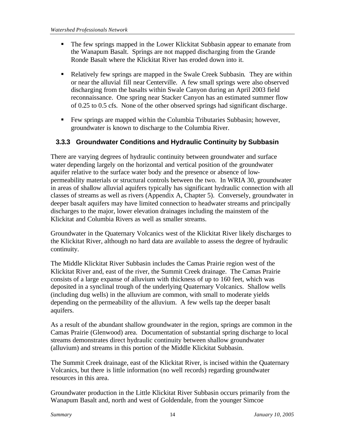- The few springs mapped in the Lower Klickitat Subbasin appear to emanate from the Wanapum Basalt. Springs are not mapped discharging from the Grande Ronde Basalt where the Klickitat River has eroded down into it.
- Relatively few springs are mapped in the Swale Creek Subbasin. They are within or near the alluvial fill near Centerville. A few small springs were also observed discharging from the basalts within Swale Canyon during an April 2003 field reconnaissance. One spring near Stacker Canyon has an estimated summer flow of 0.25 to 0.5 cfs. None of the other observed springs had significant discharge.
- ß Few springs are mapped within the Columbia Tributaries Subbasin; however, groundwater is known to discharge to the Columbia River.

#### **3.3.3 Groundwater Conditions and Hydraulic Continuity by Subbasin**

There are varying degrees of hydraulic continuity between groundwater and surface water depending largely on the horizontal and vertical position of the groundwater aquifer relative to the surface water body and the presence or absence of lowpermeability materials or structural controls between the two. In WRIA 30, groundwater in areas of shallow alluvial aquifers typically has significant hydraulic connection with all classes of streams as well as rivers (Appendix A, Chapter 5). Conversely, groundwater in deeper basalt aquifers may have limited connection to headwater streams and principally discharges to the major, lower elevation drainages including the mainstem of the Klickitat and Columbia Rivers as well as smaller streams.

Groundwater in the Quaternary Volcanics west of the Klickitat River likely discharges to the Klickitat River, although no hard data are available to assess the degree of hydraulic continuity.

The Middle Klickitat River Subbasin includes the Camas Prairie region west of the Klickitat River and, east of the river, the Summit Creek drainage. The Camas Prairie consists of a large expanse of alluvium with thickness of up to 160 feet, which was deposited in a synclinal trough of the underlying Quaternary Volcanics. Shallow wells (including dug wells) in the alluvium are common, with small to moderate yields depending on the permeability of the alluvium. A few wells tap the deeper basalt aquifers.

As a result of the abundant shallow groundwater in the region, springs are common in the Camas Prairie (Glenwood) area. Documentation of substantial spring discharge to local streams demonstrates direct hydraulic continuity between shallow groundwater (alluvium) and streams in this portion of the Middle Klickitat Subbasin.

The Summit Creek drainage, east of the Klickitat River, is incised within the Quaternary Volcanics, but there is little information (no well records) regarding groundwater resources in this area.

Groundwater production in the Little Klickitat River Subbasin occurs primarily from the Wanapum Basalt and, north and west of Goldendale, from the younger Simcoe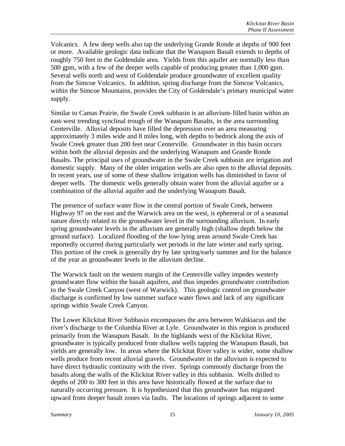Volcanics. A few deep wells also tap the underlying Grande Ronde at depths of 900 feet or more. Available geologic data indicate that the Wanapum Basalt extends to depths of roughly 750 feet in the Goldendale area. Yields from this aquifer are normally less than 500 gpm, with a few of the deeper wells capable of producing greater than 1,000 gpm. Several wells north and west of Goldendale produce groundwater of excellent quality from the Simcoe Volcanics. In addition, spring discharge from the Simcoe Volcanics, within the Simcoe Mountains, provides the City of Goldendale's primary municipal water supply.

Similar to Camas Prairie, the Swale Creek subbasin is an alluvium-filled basin within an east-west trending synclinal trough of the Wanapum Basalts, in the area surrounding Centerville. Alluvial deposits have filled the depression over an area measuring approximately 3 miles wide and 8 miles long, with depths to bedrock along the axis of Swale Creek greater than 200 feet near Centerville. Groundwater in this basin occurs within both the alluvial deposits and the underlying Wanapum and Grande Ronde Basalts. The principal uses of groundwater in the Swale Creek subbasin are irrigation and domestic supply. Many of the older irrigation wells are also open to the alluvial deposits. In recent years, use of some of these shallow irrigation wells has diminished in favor of deeper wells. The domestic wells generally obtain water from the alluvial aquifer or a combination of the alluvial aquifer and the underlying Wanapum Basalt.

The presence of surface water flow in the central portion of Swale Creek, between Highway 97 on the east and the Warwick area on the west, is ephemeral or of a seasonal nature directly related to the groundwater level in the surrounding alluvium. In early spring groundwater levels in the alluvium are generally high (shallow depth below the ground surface). Localized flooding of the low-lying areas around Swale Creek has reportedly occurred during particularly wet periods in the late winter and early spring. This portion of the creek is generally dry by late spring/early summer and for the balance of the year as groundwater levels in the alluvium decline.

The Warwick fault on the western margin of the Centerville valley impedes westerly groundwater flow within the basalt aquifers, and thus impedes groundwater contribution to the Swale Creek Canyon (west of Warwick). This geologic control on groundwater discharge is confirmed by low summer surface water flows and lack of any significant springs within Swale Creek Canyon.

The Lower Klickitat River Subbasin encompasses the area between Wahkiacus and the river's discharge to the Columbia River at Lyle. Groundwater in this region is produced primarily from the Wanapum Basalt. In the highlands west of the Klickitat River, groundwater is typically produced from shallow wells tapping the Wanapum Basalt, but yields are generally low. In areas where the Klickitat River valley is wider, some shallow wells produce from recent alluvial gravels. Groundwater in the alluvium is expected to have direct hydraulic continuity with the river. Springs commonly discharge from the basalts along the walls of the Klickitat River valley in this subbasin. Wells drilled to depths of 200 to 300 feet in this area have historically flowed at the surface due to naturally occurring pressure. It is hypothesized that this groundwater has migrated upward from deeper basalt zones via faults. The locations of springs adjacent to some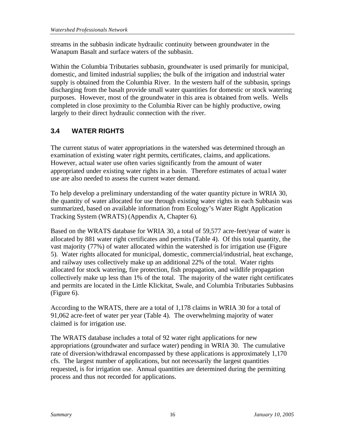streams in the subbasin indicate hydraulic continuity between groundwater in the Wanapum Basalt and surface waters of the subbasin.

Within the Columbia Tributaries subbasin, groundwater is used primarily for municipal, domestic, and limited industrial supplies; the bulk of the irrigation and industrial water supply is obtained from the Columbia River. In the western half of the subbasin, springs discharging from the basalt provide small water quantities for domestic or stock watering purposes. However, most of the groundwater in this area is obtained from wells. Wells completed in close proximity to the Columbia River can be highly productive, owing largely to their direct hydraulic connection with the river.

#### **3.4 WATER RIGHTS**

The current status of water appropriations in the watershed was determined through an examination of existing water right permits, certificates, claims, and applications. However, actual water use often varies significantly from the amount of water appropriated under existing water rights in a basin. Therefore estimates of actua l water use are also needed to assess the current water demand.

To help develop a preliminary understanding of the water quantity picture in WRIA 30, the quantity of water allocated for use through existing water rights in each Subbasin was summarized, based on available information from Ecology's Water Right Application Tracking System (WRATS) (Appendix A, Chapter 6).

Based on the WRATS database for WRIA 30, a total of 59,577 acre-feet/year of water is allocated by 881 water right certificates and permits (Table 4). Of this total quantity, the vast majority (77%) of water allocated within the watershed is for irrigation use (Figure 5). Water rights allocated for municipal, domestic, commercial/industrial, heat exchange, and railway uses collectively make up an additional 22% of the total. Water rights allocated for stock watering, fire protection, fish propagation, and wildlife propagation collectively make up less than 1% of the total. The majority of the water right certificates and permits are located in the Little Klickitat, Swale, and Columbia Tributaries Subbasins (Figure 6).

According to the WRATS, there are a total of 1,178 claims in WRIA 30 for a total of 91,062 acre-feet of water per year (Table 4). The overwhelming majority of water claimed is for irrigation use.

The WRATS database includes a total of 92 water right applications for new appropriations (groundwater and surface water) pending in WRIA 30. The cumulative rate of diversion/withdrawal encompassed by these applications is approximately 1,170 cfs. The largest number of applications, but not necessarily the largest quantities requested, is for irrigation use. Annual quantities are determined during the permitting process and thus not recorded for applications.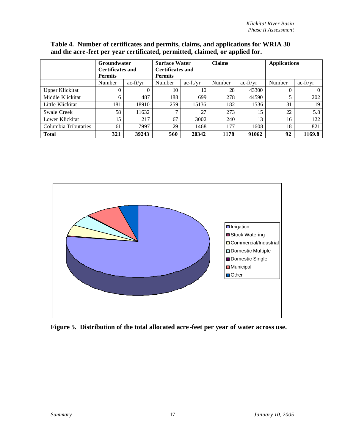|  | Table 4. Number of certificates and permits, claims, and applications for WRIA 30 |  |  |
|--|-----------------------------------------------------------------------------------|--|--|
|  | and the acre-feet per year certificated, permitted, claimed, or applied for.      |  |  |

|                        | Groundwater<br><b>Certificates and</b><br><b>Permits</b> |            | <b>Surface Water</b><br><b>Certificates and</b><br><b>Permits</b> |            | <b>Claims</b> | <b>Applications</b> |          |          |
|------------------------|----------------------------------------------------------|------------|-------------------------------------------------------------------|------------|---------------|---------------------|----------|----------|
|                        | Number                                                   | $ac-ft/yr$ | Number                                                            | $ac-ft/yr$ | Number        | $ac-ft/yr$          | Number   | ac-ft/yr |
| <b>Upper Klickitat</b> | 0                                                        | $\theta$   | 10                                                                | 10         | 28            | 43300               | $\theta$ | $\Omega$ |
| Middle Klickitat       | 6                                                        | 487        | 188                                                               | 699        | 278           | 44590               | 5        | 202      |
| Little Klickitat       | 181                                                      | 18910      | 259                                                               | 15136      | 182           | 1536                | 31       | 19       |
| <b>Swale Creek</b>     | 58                                                       | 11632      | $\mathbf{r}$                                                      | 27         | 273           | 15                  | 22       | 5.8      |
| Lower Klickitat        | 15                                                       | 217        | 67                                                                | 3002       | 240           | 13                  | 16       | 122      |
| Columbia Tributaries   | 61                                                       | 7997       | 29                                                                | 1468       | 177           | 1608                | 18       | 821      |
| <b>Total</b>           | 321                                                      | 39243      | 560                                                               | 20342      | 1178          | 91062               | 92       | 1169.8   |



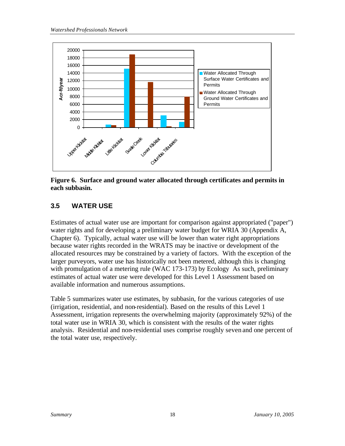

**Figure 6. Surface and ground water allocated through certificates and permits in each subbasin.**

#### **3.5 WATER USE**

Estimates of actual water use are important for comparison against appropriated ("paper") water rights and for developing a preliminary water budget for WRIA 30 (Appendix A, Chapter 6). Typically, actual water use will be lower than water right appropriations because water rights recorded in the WRATS may be inactive or development of the allocated resources may be constrained by a variety of factors. With the exception of the larger purveyors, water use has historically not been metered, although this is changing with promulgation of a metering rule (WAC 173-173) by Ecology As such, preliminary estimates of actual water use were developed for this Level 1 Assessment based on available information and numerous assumptions.

Table 5 summarizes water use estimates, by subbasin, for the various categories of use (irrigation, residential, and non-residential). Based on the results of this Level 1 Assessment, irrigation represents the overwhelming majority (approximately 92%) of the total water use in WRIA 30, which is consistent with the results of the water rights analysis. Residential and non-residential uses comprise roughly seven and one percent of the total water use, respectively.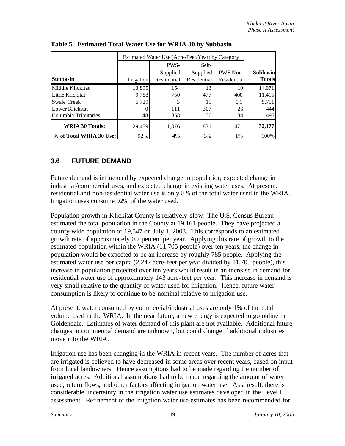|                         | Estimated Water Use (Acre-Feet/Year) by Category |             |             |             |                 |
|-------------------------|--------------------------------------------------|-------------|-------------|-------------|-----------------|
|                         |                                                  | PWS-        | Self-       |             |                 |
|                         |                                                  | Supplied    | Supplied    | PWS Non-    | <b>Subbasin</b> |
| <b>Subbasin</b>         | Irrigation                                       | Residential | Residential | Residential | <b>Totals</b>   |
| Middle Klickitat        | 13,895                                           | 154         | 13          | 10          | 14,071          |
| Little Klickitat        | 9,788                                            | 750         | 477         | 400         | 11,415          |
| Swale Creek             | 5,729                                            | 3           | 19          | 0.1         | 5,751           |
| Lower Klickitat         |                                                  | 111         | 307         | 26          | 444             |
| Columbia Tributaries    | 48                                               | 358         | 56          | 34          | 496             |
| <b>WRIA 30 Totals:</b>  | 29,459                                           | 1,376       | 871         | 471         | 32,177          |
| % of Total WRIA 30 Use: | 92%                                              | 4%          | 3%          | 1%          | 100%            |

**Table 5. Estimated Total Water Use for WRIA 30 by Subbasin** 

#### **3.6 FUTURE DEMAND**

Future demand is influenced by expected change in population, expected change in industrial/commercial uses, and expected change in existing water uses. At present, residential and non-residential water use is only 8% of the total water used in the WRIA. Irrigation uses consume 92% of the water used.

Population growth in Klickitat County is relatively slow. The U.S. Census Bureau estimated the total population in the County at 19,161 people. They have projected a county-wide population of 19,547 on July 1, 2003. This corresponds to an estimated growth rate of approximately 0.7 percent per year. Applying this rate of growth to the estimated population within the WRIA (11,705 people) over ten years, the change in population would be expected to be an increase by roughly 785 people. Applying the estimated water use per capita (2,247 acre-feet per year divided by 11,705 people), this increase in population projected over ten years would result in an increase in demand for residential water use of approximately 143 acre-feet per year. This increase in demand is very small relative to the quantity of water used for irrigation. Hence, future water consumption is likely to continue to be nominal relative to irrigation use.

At present, water consumed by commercial/industrial uses are only 1% of the total volume used in the WRIA. In the near future, a new energy is expected to go online in Goldendale. Estimates of water demand of this plant are not available. Additional future changes in commercial demand are unknown, but could change if additional industries move into the WRIA.

Irrigation use has been changing in the WRIA in recent years. The number of acres that are irrigated is believed to have decreased in some areas over recent years, based on input from local landowners. Hence assumptions had to be made regarding the number of irrigated acres. Additional assumptions had to be made regarding the amount of water used, return flows, and other factors affecting irrigation water use. As a result, there is considerable uncertainty in the irrigation water use estimates developed in the Level I assessment. Refinement of the irrigation water use estimates has been recommended for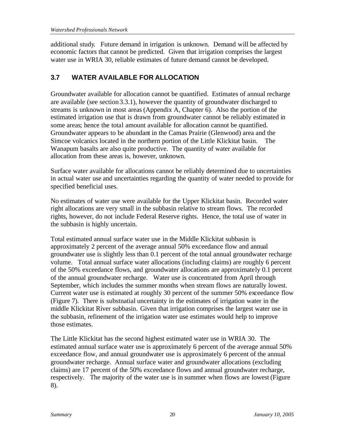additional study. Future demand in irrigation is unknown. Demand will be affected by economic factors that cannot be predicted. Given that irrigation comprises the largest water use in WRIA 30, reliable estimates of future demand cannot be developed.

#### **3.7 WATER AVAILABLE FOR ALLOCATION**

Groundwater available for allocation cannot be quantified. Estimates of annual recharge are available (see section 3.3.1), however the quantity of groundwater discharged to streams is unknown in most areas (Appendix A, Chapter 6). Also the portion of the estimated irrigation use that is drawn from groundwater cannot be reliably estimated in some areas; hence the total amount available for allocation cannot be quantified. Groundwater appears to be abundant in the Camas Prairie (Glenwood) area and the Simcoe volcanics located in the northern portion of the Little Klickitat basin. The Wanapum basalts are also quite productive. The quantity of water available for allocation from these areas is, however, unknown.

Surface water available for allocations cannot be reliably determined due to uncertainties in actual water use and uncertainties regarding the quantity of water needed to provide for specified beneficial uses.

No estimates of water use were available for the Upper Klickitat basin. Recorded water right allocations are very small in the subbasin relative to stream flows. The recorded rights, however, do not include Federal Reserve rights. Hence, the total use of water in the subbasin is highly uncertain.

Total estimated annual surface water use in the Middle Klickitat subbasin is approximately 2 percent of the average annual 50% exceedance flow and annual groundwater use is slightly less than 0.1 percent of the total annual groundwater recharge volume. Total annual surface water allocations (including claims) are roughly 6 percent of the 50% exceedance flows, and groundwater allocations are approximately 0.1 percent of the annual groundwater recharge. Water use is concentrated from April through September, which includes the summer months when stream flows are naturally lowest. Current water use is estimated at roughly 30 percent of the summer 50% exceedance flow (Figure 7). There is substnatial uncertainty in the estimates of irrigation water in the middle Klickitat River subbasin. Given that irrigation comprises the largest water use in the subbasin, refinement of the irrigation water use estimates would help to improve those estimates.

The Little Klickitat has the second highest estimated water use in WRIA 30. The estimated annual surface water use is approximately 6 percent of the average annual 50% exceedance flow, and annual groundwater use is approximately 6 percent of the annual groundwater recharge. Annual surface water and groundwater allocations (excluding claims) are 17 percent of the 50% exceedance flows and annual groundwater recharge, respectively. The majority of the water use is in summer when flows are lowest (Figure 8).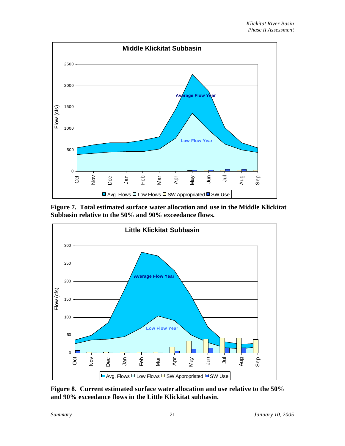

**Figure 7. Total estimated surface water allocation and use in the Middle Klickitat Subbasin relative to the 50% and 90% exceedance flows.** 



**Figure 8. Current estimated surface water allocation and use relative to the 50% and 90% exceedance flows in the Little Klickitat subbasin.**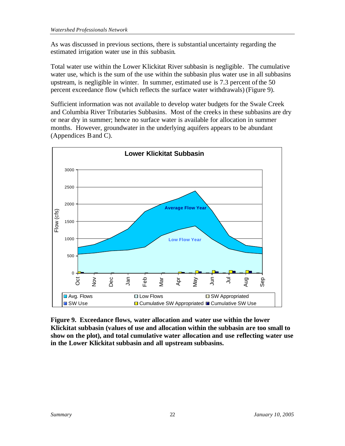As was discussed in previous sections, there is substantial uncertainty regarding the estimated irrigation water use in this subbasin.

Total water use within the Lower Klickitat River subbasin is negligible. The cumulative water use, which is the sum of the use within the subbasin plus water use in all subbasins upstream, is negligible in winter. In summer, estimated use is 7.3 percent of the 50 percent exceedance flow (which reflects the surface water withdrawals) (Figure 9).

Sufficient information was not available to develop water budgets for the Swale Creek and Columbia River Tributaries Subbasins. Most of the creeks in these subbasins are dry or near dry in summer; hence no surface water is available for allocation in summer months. However, groundwater in the underlying aquifers appears to be abundant (Appendices B and C).



**Figure 9. Exceedance flows, water allocation and water use within the lower Klickitat subbasin (values of use and allocation within the subbasin are too small to show on the plot), and total cumulative water allocation and use reflecting water use in the Lower Klickitat subbasin and all upstream subbasins.**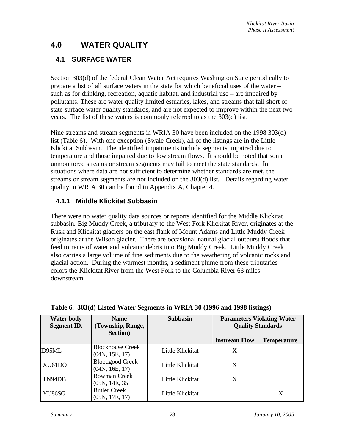## **4.0 WATER QUALITY**

#### **4.1 SURFACE WATER**

Section 303(d) of the federal Clean Water Act requires Washington State periodically to prepare a list of all surface waters in the state for which beneficial uses of the water – such as for drinking, recreation, aquatic habitat, and industrial use – are impaired by pollutants. These are water quality limited estuaries, lakes, and streams that fall short of state surface water quality standards, and are not expected to improve within the next two years. The list of these waters is commonly referred to as the 303(d) list.

Nine streams and stream segments in WRIA 30 have been included on the 1998 303(d) list (Table 6). With one exception (Swale Creek), all of the listings are in the Little Klickitat Subbasin. The identified impairments include segments impaired due to temperature and those impaired due to low stream flows. It should be noted that some unmonitored streams or stream segments may fail to meet the state standards. In situations where data are not sufficient to determine whether standards are met, the streams or stream segments are not included on the 303(d) list. Details regarding water quality in WRIA 30 can be found in Appendix A, Chapter 4.

#### **4.1.1 Middle Klickitat Subbasin**

There were no water quality data sources or reports identified for the Middle Klickitat subbasin. Big Muddy Creek, a tribut ary to the West Fork Klickitat River, originates at the Rusk and Klickitat glaciers on the east flank of Mount Adams and Little Muddy Creek originates at the Wilson glacier. There are occasional natural glacial outburst floods that feed torrents of water and volcanic debris into Big Muddy Creek. Little Muddy Creek also carries a large volume of fine sediments due to the weathering of volcanic rocks and glacial action. During the warmest months, a sediment plume from these tributaries colors the Klickitat River from the West Fork to the Columbia River 63 miles downstream.

| <b>Water body</b><br>Segment ID. | <b>Name</b><br>(Township, Range,<br>Section) | <b>Subbasin</b>  | <b>Parameters Violating Water</b><br><b>Quality Standards</b> |                    |
|----------------------------------|----------------------------------------------|------------------|---------------------------------------------------------------|--------------------|
|                                  |                                              |                  | <b>Instream Flow</b>                                          | <b>Temperature</b> |
| D95ML                            | <b>Blockhouse Creek</b><br>(04N, 15E, 17)    | Little Klickitat | X                                                             |                    |
| XU61DO                           | <b>Bloodgood Creek</b><br>(04N, 16E, 17)     | Little Klickitat | X                                                             |                    |
| TN94DB                           | <b>Bowman Creek</b><br>(05N, 14E, 35)        | Little Klickitat | X                                                             |                    |
| YU86SG                           | <b>Butler Creek</b><br>(05N, 17E, 17)        | Little Klickitat |                                                               | X                  |

|  | Table 6. 303(d) Listed Water Segments in WRIA 30 (1996 and 1998 listings) |  |  |
|--|---------------------------------------------------------------------------|--|--|
|  |                                                                           |  |  |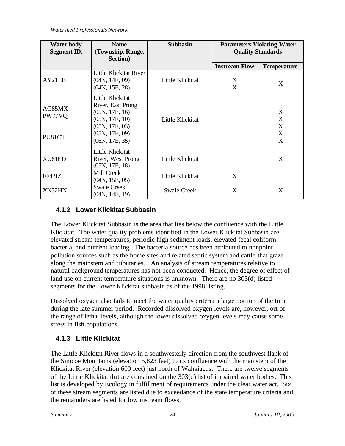| <b>Water body</b><br>Segment ID. | <b>Name</b><br>(Township, Range,<br>Section)                                                                                    | <b>Subbasin</b>    | <b>Parameters Violating Water</b><br><b>Quality Standards</b> |                       |
|----------------------------------|---------------------------------------------------------------------------------------------------------------------------------|--------------------|---------------------------------------------------------------|-----------------------|
|                                  |                                                                                                                                 |                    | <b>Instream Flow</b>                                          | <b>Temperature</b>    |
| AY21LB                           | Little Klickitat River<br>(04N, 14E, 09)<br>(04N, 15E, 28)                                                                      | Little Klickitat   | X<br>X                                                        | X                     |
| AG85MX<br>PW77VQ<br>PU81CT       | Little Klickitat<br>River, East Prong<br>(05N, 17E, 16)<br>(05N, 17E, 10)<br>(05N, 17E, 03)<br>(05N, 17E, 09)<br>(06N, 17E, 35) | Little Klickitat   |                                                               | X<br>X<br>X<br>X<br>X |
| XU61ED                           | Little Klickitat<br>River, West Prong<br>(05N, 17E, 18)                                                                         | Little Klickitat   |                                                               | X                     |
| FF43IZ                           | Mill Creek<br>(04N, 15E, 05)                                                                                                    | Little Klickitat   | X                                                             |                       |
| XN32HN                           | <b>Swale Creek</b><br>(04N, 14E, 19)                                                                                            | <b>Swale Creek</b> | X                                                             | X                     |

#### **4.1.2 Lower Klickitat Subbasin**

The Lower Klickitat Subbasin is the area that lies below the confluence with the Little Klickitat. The water quality problems identified in the Lower Klickitat Subbasin are elevated stream temperatures, periodic high sediment loads, elevated fecal coliform bacteria, and nutrient loading. The bacteria source has been attributed to nonpoint pollution sources such as the home sites and related septic system and cattle that graze along the mainstem and tributaries. An analysis of stream temperatures relative to natural background temperatures has not been conducted. Hence, the degree of effect of land use on current temperature situations is unknown. There are no 303(d) listed segments for the Lower Klickitat subbasin as of the 1998 listing.

Dissolved oxygen also fails to meet the water quality criteria a large portion of the time during the late summer period. Recorded dissolved oxygen levels are, however, out of the range of lethal levels, although the lower dissolved oxygen levels may cause some stress in fish populations.

#### **4.1.3 Little Klickitat**

The Little Klickitat River flows in a southwesterly direction from the southwest flank of the Simcoe Mountains (elevation 5,823 feet) to its confluence with the mainstem of the Klickitat River (elevation 600 feet) just north of Wahkiacus. There are twelve segments of the Little Klickitat that are contained on the 303(d) list of impaired water bodies. This list is developed by Ecology in fulfillment of requirements under the clear water act. Six of these stream segments are listed due to exceedance of the state temperature criteria and the remainders are listed for low instream flows.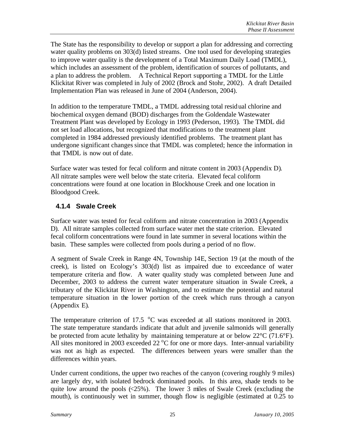The State has the responsibility to develop or support a plan for addressing and correcting water quality problems on 303(d) listed streams. One tool used for developing strategies to improve water quality is the development of a Total Maximum Daily Load (TMDL), which includes an assessment of the problem, identification of sources of pollutants, and a plan to address the problem. A Technical Report supporting a TMDL for the Little Klickitat River was completed in July of 2002 (Brock and Stohr, 2002). A draft Detailed Implementation Plan was released in June of 2004 (Anderson, 2004).

In addition to the temperature TMDL, a TMDL addressing total residual chlorine and biochemical oxygen demand (BOD) discharges from the Goldendale Wastewater Treatment Plant was developed by Ecology in 1993 (Pederson, 1993). The TMDL did not set load allocations, but recognized that modifications to the treatment plant completed in 1984 addressed previously identified problems. The treatment plant has undergone significant changes since that TMDL was completed; hence the information in that TMDL is now out of date.

Surface water was tested for fecal coliform and nitrate content in 2003 (Appendix D). All nitrate samples were well below the state criteria. Elevated fecal coliform concentrations were found at one location in Blockhouse Creek and one location in Bloodgood Creek.

#### **4.1.4 Swale Creek**

Surface water was tested for fecal coliform and nitrate concentration in 2003 (Appendix D). All nitrate samples collected from surface water met the state criterion. Elevated fecal coliform concentrations were found in late summer in several locations within the basin. These samples were collected from pools during a period of no flow.

A segment of Swale Creek in Range 4N, Township 14E, Section 19 (at the mouth of the creek), is listed on Ecology's 303(d) list as impaired due to exceedance of water temperature criteria and flow. A water quality study was completed between June and December, 2003 to address the current water temperature situation in Swale Creek, a tributary of the Klickitat River in Washington, and to estimate the potential and natural temperature situation in the lower portion of the creek which runs through a canyon (Appendix E).

The temperature criterion of 17.5  $\degree$ C was exceeded at all stations monitored in 2003. The state temperature standards indicate that adult and juvenile salmonids will generally be protected from acute lethality by maintaining temperature at or below 22°C (71.6°F). All sites monitored in 2003 exceeded 22 °C for one or more days. Inter-annual variability was not as high as expected. The differences between years were smaller than the differences within years.

Under current conditions, the upper two reaches of the canyon (covering roughly 9 miles) are largely dry, with isolated bedrock dominated pools. In this area, shade tends to be quite low around the pools  $\langle 25\% \rangle$ . The lower 3 miles of Swale Creek (excluding the mouth), is continuously wet in summer, though flow is negligible (estimated at 0.25 to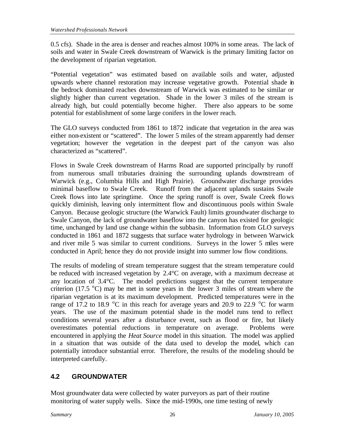0.5 cfs). Shade in the area is denser and reaches almost 100% in some areas. The lack of soils and water in Swale Creek downstream of Warwick is the primary limiting factor on the development of riparian vegetation.

"Potential vegetation" was estimated based on available soils and water, adjusted upwards where channel restoration may increase vegetative growth. Potential shade in the bedrock dominated reaches downstream of Warwick was estimated to be similar or slightly higher than current vegetation. Shade in the lower 3 miles of the stream is already high, but could potentially become higher. There also appears to be some potential for establishment of some large conifers in the lower reach.

The GLO surveys conducted from 1861 to 1872 indicate that vegetation in the area was either non-existent or "scattered". The lower 5 miles of the stream apparently had denser vegetation; however the vegetation in the deepest part of the canyon was also characterized as "scattered".

Flows in Swale Creek downstream of Harms Road are supported principally by runoff from numerous small tributaries draining the surrounding uplands downstream of Warwick (e.g., Columbia Hills and High Prairie). Groundwater discharge provides minimal baseflow to Swale Creek. Runoff from the adjacent uplands sustains Swale Creek flows into late springtime. Once the spring runoff is over, Swale Creek flows quickly diminish, leaving only intermittent flow and discontinuous pools within Swale Canyon. Because geologic structure (the Warwick Fault) limits groundwater discharge to Swale Canyon, the lack of groundwater baseflow into the canyon has existed for geologic time, unchanged by land use change within the subbasin. Information from GLO surveys conducted in 1861 and 1872 suggests that surface water hydrology in between Warwick and river mile 5 was similar to current conditions. Surveys in the lower 5 miles were conducted in April; hence they do not provide insight into summer low flow conditions.

The results of modeling of stream temperature suggest that the stream temperature could be reduced with increased vegetation by 2.4°C on average, with a maximum decrease at any location of 3.4°C. The model predictions suggest that the current temperature criterion (17.5  $^{\circ}$ C) may be met in some years in the lower 3 miles of stream where the riparian vegetation is at its maximum development. Predicted temperatures were in the range of 17.2 to 18.9  $\degree$ C in this reach for average years and 20.9 to 22.9  $\degree$ C for warm years. The use of the maximum potential shade in the model runs tend to reflect conditions several years after a disturbance event, such as flood or fire, but likely overestimates potential reductions in temperature on average. Problems were encountered in applying the *Heat Source* model in this situation. The model was applied in a situation that was outside of the data used to develop the model, which can potentially introduce substantial error. Therefore, the results of the modeling should be interpreted carefully.

#### **4.2 GROUNDWATER**

Most groundwater data were collected by water purveyors as part of their routine monitoring of water supply wells. Since the mid-1990s, one time testing of newly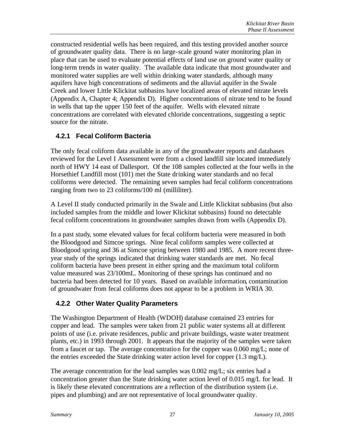constructed residential wells has been required, and this testing provided another source of groundwater quality data. There is no large-scale ground water monitoring plan in place that can be used to evaluate potential effects of land use on ground water quality or long-term trends in water quality. The available data indicate that most groundwater and monitored water supplies are well within drinking water standards, although many aquifers have high concentrations of sediments and the alluvial aquifer in the Swale Creek and lower Little Klickitat subbasins have localized areas of elevated nitrate levels (Appendix A, Chapter 4; Appendix D). Higher concentrations of nitrate tend to be found in wells that tap the upper 150 feet of the aquifer. Wells with elevated nitrate concentrations are correlated with elevated chloride concentrations, suggesting a septic source for the nitrate.

#### **4.2.1 Fecal Coliform Bacteria**

The only fecal coliform data available in any of the groundwater reports and databases reviewed for the Level I Assessment were from a closed landfill site located immediately north of HWY 14 east of Dallesport. Of the 108 samples collected at the four wells in the Horsethief Landfill most (101) met the State drinking water standards and no fecal coliforms were detected. The remaining seven samples had fecal coliform concentrations ranging from two to 23 coliforms/100 ml (milliliter).

A Level II study conducted primarily in the Swale and Little Klickitat subbasins (but also included samples from the middle and lower Klickitat subbasins) found no detectable fecal coliform concentrations in groundwater samples drawn from wells (Appendix D).

In a past study, some elevated values for fecal coliform bacteria were measured in both the Bloodgood and Simcoe springs. Nine fecal coliform samples were collected at Bloodgood spring and 36 at Simcoe spring between 1980 and 1985. A more recent threeyear study of the springs indicated that drinking water standards are met. No fecal coliform bacteria have been present in either spring and the maximum total coliform value measured was 23/100mL. Monitoring of these springs has continued and no bacteria had been detected for 10 years. Based on available information, contamination of groundwater from fecal coliforms does not appear to be a problem in WRIA 30.

#### **4.2.2 Other Water Quality Parameters**

The Washington Department of Health (WDOH) database contained 23 entries for copper and lead. The samples were taken from 21 public water systems all at different points of use (i.e. private residences, public and private buildings, waste water treatment plants, etc.) in 1993 through 2001. It appears that the majority of the samples were taken from a faucet or tap. The average concentration for the copper was 0.060 mg/L; none of the entries exceeded the State drinking water action level for copper (1.3 mg/L).

The average concentration for the lead samples was 0.002 mg/L; six entries had a concentration greater than the State drinking water action level of 0.015 mg/L for lead. It is likely these elevated concentrations are a reflection of the distribution system (i.e. pipes and plumbing) and are not representative of local groundwater quality.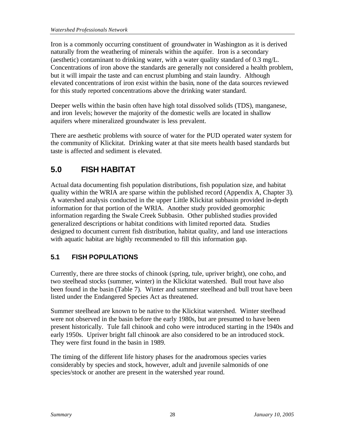Iron is a commonly occurring constituent of groundwater in Washington as it is derived naturally from the weathering of minerals within the aquifer. Iron is a secondary (aesthetic) contaminant to drinking water, with a water quality standard of 0.3 mg/L. Concentrations of iron above the standards are generally not considered a health problem, but it will impair the taste and can encrust plumbing and stain laundry. Although elevated concentrations of iron exist within the basin, none of the data sources reviewed for this study reported concentrations above the drinking water standard.

Deeper wells within the basin often have high total dissolved solids (TDS), manganese, and iron levels; however the majority of the domestic wells are located in shallow aquifers where mineralized groundwater is less prevalent.

There are aesthetic problems with source of water for the PUD operated water system for the community of Klickitat. Drinking water at that site meets health based standards but taste is affected and sediment is elevated.

## **5.0 FISH HABITAT**

Actual data documenting fish population distributions, fish population size, and habitat quality within the WRIA are sparse within the published record (Appendix A, Chapter 3). A watershed analysis conducted in the upper Little Klickitat subbasin provided in-depth information for that portion of the WRIA. Another study provided geomorphic information regarding the Swale Creek Subbasin. Other published studies provided generalized descriptions or habitat conditions with limited reported data. Studies designed to document current fish distribution, habitat quality, and land use interactions with aquatic habitat are highly recommended to fill this information gap.

### **5.1 FISH POPULATIONS**

Currently, there are three stocks of chinook (spring, tule, upriver bright), one coho, and two steelhead stocks (summer, winter) in the Klickitat watershed. Bull trout have also been found in the basin (Table 7). Winter and summer steelhead and bull trout have been listed under the Endangered Species Act as threatened.

Summer steelhead are known to be native to the Klickitat watershed. Winter steelhead were not observed in the basin before the early 1980s, but are presumed to have been present historically. Tule fall chinook and coho were introduced starting in the 1940s and early 1950s. Upriver bright fall chinook are also considered to be an introduced stock. They were first found in the basin in 1989.

The timing of the different life history phases for the anadromous species varies considerably by species and stock, however, adult and juvenile salmonids of one species/stock or another are present in the watershed year round.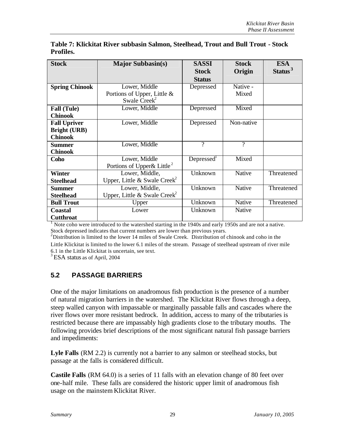| <b>Stock</b>          | <b>Major Subbasin(s)</b>                 | <b>SASSI</b><br><b>Stock</b> | <b>Stock</b><br>Origin | <b>ESA</b><br>Status <sup>3</sup> |
|-----------------------|------------------------------------------|------------------------------|------------------------|-----------------------------------|
|                       |                                          | <b>Status</b>                |                        |                                   |
| <b>Spring Chinook</b> | Lower, Middle                            | Depressed                    | Native -               |                                   |
|                       | Portions of Upper, Little &              |                              | Mixed                  |                                   |
|                       | Swale Creek <sup>2</sup>                 |                              |                        |                                   |
| <b>Fall (Tule)</b>    | Lower, Middle                            | Depressed                    | Mixed                  |                                   |
| <b>Chinook</b>        |                                          |                              |                        |                                   |
| <b>Fall Upriver</b>   | Lower, Middle                            | Depressed                    | Non-native             |                                   |
| <b>Bright (URB)</b>   |                                          |                              |                        |                                   |
| <b>Chinook</b>        |                                          |                              |                        |                                   |
| <b>Summer</b>         | Lower, Middle                            |                              | $\boldsymbol{\eta}$    |                                   |
| <b>Chinook</b>        |                                          |                              |                        |                                   |
| Coho                  | Lower, Middle                            |                              | Mixed                  |                                   |
|                       | Portions of Upper& Little <sup>2</sup>   |                              |                        |                                   |
| Winter                | Lower, Middle,                           |                              | <b>Native</b>          | Threatened                        |
| <b>Steelhead</b>      | Upper, Little & Swale Creek <sup>2</sup> |                              |                        |                                   |
| <b>Summer</b>         | Lower, Middle,                           | Unknown                      | <b>Native</b>          | Threatened                        |
| <b>Steelhead</b>      | Upper, Little & Swale Creek <sup>2</sup> |                              |                        |                                   |
| <b>Bull Trout</b>     | Upper                                    |                              | <b>Native</b>          | Threatened                        |
| <b>Coastal</b>        | Lower                                    | Unknown                      | Native                 |                                   |
| <b>Cutthroat</b>      |                                          |                              |                        |                                   |

**Table 7: Klickitat River subbasin Salmon, Steelhead, Trout and Bull Trout - Stock Profiles.**

<sup>1</sup> Note coho were introduced to the watershed starting in the 1940s and early 1950s and are not a native. Stock depressed indicates that current numbers are lower than previous years.

 $2$ Distribution is limited to the lower 14 miles of Swale Creek. Distribution of chinook and coho in the Little Klickitat is limited to the lower 6.1 miles of the stream. Passage of steelhead upstream of river mile 6.1 in the Little Klickitat is uncertain, see text.

<sup>3</sup>ESA status as of April, 2004

#### **5.2 PASSAGE BARRIERS**

One of the major limitations on anadromous fish production is the presence of a number of natural migration barriers in the watershed. The Klickitat River flows through a deep, steep walled canyon with impassable or marginally passable falls and cascades where the river flows over more resistant bedrock. In addition, access to many of the tributaries is restricted because there are impassably high gradients close to the tributary mouths. The following provides brief descriptions of the most significant natural fish passage barriers and impediments:

**Lyle Falls** (RM 2.2) is currently not a barrier to any salmon or steelhead stocks, but passage at the falls is considered difficult.

**Castile Falls** (RM 64.0) is a series of 11 falls with an elevation change of 80 feet over one-half mile. These falls are considered the historic upper limit of anadromous fish usage on the mainstem Klickitat River.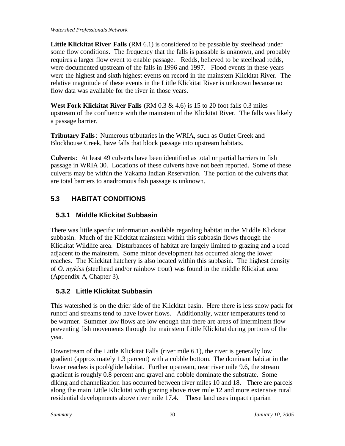**Little Klickitat River Falls** (RM 6.1) is considered to be passable by steelhead under some flow conditions. The frequency that the falls is passable is unknown, and probably requires a larger flow event to enable passage. Redds, believed to be steelhead redds, were documented upstream of the falls in 1996 and 1997. Flood events in these years were the highest and sixth highest events on record in the mainstem Klickitat River. The relative magnitude of these events in the Little Klickitat River is unknown because no flow data was available for the river in those years.

**West Fork Klickitat River Falls** (RM 0.3 & 4.6) is 15 to 20 foot falls 0.3 miles upstream of the confluence with the mainstem of the Klickitat River. The falls was likely a passage barrier.

**Tributary Falls**: Numerous tributaries in the WRIA, such as Outlet Creek and Blockhouse Creek, have falls that block passage into upstream habitats.

**Culverts**: At least 49 culverts have been identified as total or partial barriers to fish passage in WRIA 30. Locations of these culverts have not been reported. Some of these culverts may be within the Yakama Indian Reservation. The portion of the culverts that are total barriers to anadromous fish passage is unknown.

#### **5.3 HABITAT CONDITIONS**

#### **5.3.1 Middle Klickitat Subbasin**

There was little specific information available regarding habitat in the Middle Klickitat subbasin. Much of the Klickitat mainstem within this subbasin flows through the Klickitat Wildlife area. Disturbances of habitat are largely limited to grazing and a road adjacent to the mainstem. Some minor development has occurred along the lower reaches. The Klickitat hatchery is also located within this subbasin. The highest density of *O. mykiss* (steelhead and/or rainbow trout) was found in the middle Klickitat area (Appendix A, Chapter 3).

#### **5.3.2 Little Klickitat Subbasin**

This watershed is on the drier side of the Klickitat basin. Here there is less snow pack for runoff and streams tend to have lower flows. Additionally, water temperatures tend to be warmer. Summer low flows are low enough that there are areas of intermittent flow preventing fish movements through the mainstem Little Klickitat during portions of the year.

Downstream of the Little Klickitat Falls (river mile 6.1), the river is generally low gradient (approximately 1.3 percent) with a cobble bottom. The dominant habitat in the lower reaches is pool/glide habitat. Further upstream, near river mile 9.6, the stream gradient is roughly 0.8 percent and gravel and cobble dominate the substrate. Some diking and channelization has occurred between river miles 10 and 18. There are parcels along the main Little Klickitat with grazing above river mile 12 and more extensive rural residential developments above river mile 17.4. These land uses impact riparian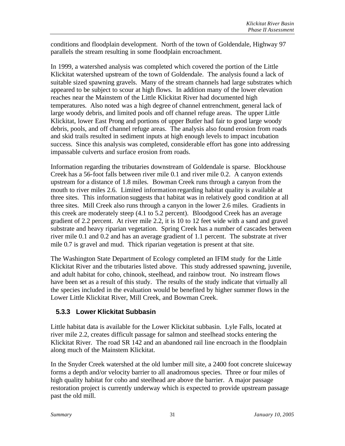conditions and floodplain development. North of the town of Goldendale, Highway 97 parallels the stream resulting in some floodplain encroachment.

In 1999, a watershed analysis was completed which covered the portion of the Little Klickitat watershed upstream of the town of Goldendale. The analysis found a lack of suitable sized spawning gravels. Many of the stream channels had large substrates which appeared to be subject to scour at high flows. In addition many of the lower elevation reaches near the Mainstem of the Little Klickitat River had documented high temperatures. Also noted was a high degree of channel entrenchment, general lack of large woody debris, and limited pools and off channel refuge areas. The upper Little Klickitat, lower East Prong and portions of upper Butler had fair to good large woody debris, pools, and off channel refuge areas. The analysis also found erosion from roads and skid trails resulted in sediment inputs at high enough levels to impact incubation success. Since this analysis was completed, considerable effort has gone into addressing impassable culverts and surface erosion from roads.

Information regarding the tributaries downstream of Goldendale is sparse. Blockhouse Creek has a 56-foot falls between river mile 0.1 and river mile 0.2. A canyon extends upstream for a distance of 1.8 miles. Bowman Creek runs through a canyon from the mouth to river miles 2.6. Limited information regarding habitat quality is available at three sites. This information suggests tha t habitat was in relatively good condition at all three sites. Mill Creek also runs through a canyon in the lower 2.6 miles. Gradients in this creek are moderately steep (4.1 to 5.2 percent). Bloodgood Creek has an average gradient of 2.2 percent. At river mile 2.2, it is 10 to 12 feet wide with a sand and gravel substrate and heavy riparian vegetation. Spring Creek has a number of cascades between river mile 0.1 and 0.2 and has an average gradient of 1.1 percent. The substrate at river mile 0.7 is gravel and mud. Thick riparian vegetation is present at that site.

The Washington State Department of Ecology completed an IFIM study for the Little Klickitat River and the tributaries listed above. This study addressed spawning, juvenile, and adult habitat for coho, chinook, steelhead, and rainbow trout. No instream flows have been set as a result of this study. The results of the study indicate that virtually all the species included in the evaluation would be benefited by higher summer flows in the Lower Little Klickitat River, Mill Creek, and Bowman Creek.

#### **5.3.3 Lower Klickitat Subbasin**

Little habitat data is available for the Lower Klickitat subbasin. Lyle Falls, located at river mile 2.2, creates difficult passage for salmon and steelhead stocks entering the Klickitat River. The road SR 142 and an abandoned rail line encroach in the floodplain along much of the Mainstem Klickitat.

In the Snyder Creek watershed at the old lumber mill site, a 2400 foot concrete sluiceway forms a depth and/or velocity barrier to all anadromous species. Three or four miles of high quality habitat for coho and steelhead are above the barrier. A major passage restoration project is currently underway which is expected to provide upstream passage past the old mill.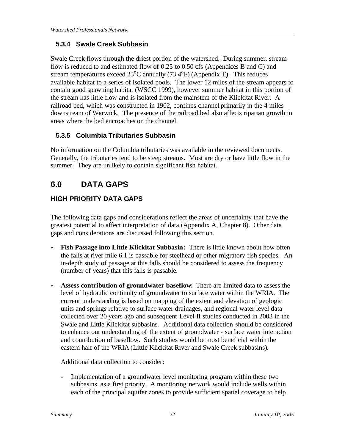#### **5.3.4 Swale Creek Subbasin**

Swale Creek flows through the driest portion of the watershed. During summer, stream flow is reduced to and estimated flow of 0.25 to 0.50 cfs (Appendices B and C) and stream temperatures exceed  $23^{\circ}$ C annually (73.4 $^{\circ}$ F) (Appendix E). This reduces available habitat to a series of isolated pools. The lower 12 miles of the stream appears to contain good spawning habitat (WSCC 1999), however summer habitat in this portion of the stream has little flow and is isolated from the mainstem of the Klickitat River. A railroad bed, which was constructed in 1902, confines channel primarily in the 4 miles downstream of Warwick. The presence of the railroad bed also affects riparian growth in areas where the bed encroaches on the channel.

#### **5.3.5 Columbia Tributaries Subbasin**

No information on the Columbia tributaries was available in the reviewed documents. Generally, the tributaries tend to be steep streams. Most are dry or have little flow in the summer. They are unlikely to contain significant fish habitat.

## **6.0 DATA GAPS**

#### **HIGH PRIORITY DATA GAPS**

The following data gaps and considerations reflect the areas of uncertainty that have the greatest potential to affect interpretation of data (Appendix A, Chapter 8). Other data gaps and considerations are discussed following this section.

- **Fish Passage into Little Klickitat Subbasin:** There is little known about how often the falls at river mile 6.1 is passable for steelhead or other migratory fish species. An in-depth study of passage at this falls should be considered to assess the frequency (number of years) that this falls is passable.
- **Assess contribution of groundwater baseflow:** There are limited data to assess the level of hydraulic continuity of groundwater to surface water within the WRIA. The current understanding is based on mapping of the extent and elevation of geologic units and springs relative to surface water drainages, and regional water level data collected over 20 years ago and subsequent Level II studies conducted in 2003 in the Swale and Little Klickitat subbasins. Additional data collection should be considered to enhance our understanding of the extent of groundwater - surface water interaction and contribution of baseflow. Such studies would be most beneficial within the eastern half of the WRIA (Little Klickitat River and Swale Creek subbasins).

Additional data collection to consider:

- Implementation of a groundwater level monitoring program within these two subbasins, as a first priority. A monitoring network would include wells within each of the principal aquifer zones to provide sufficient spatial coverage to help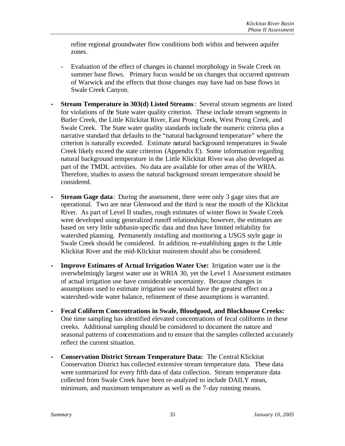refine regional groundwater flow conditions both within and between aquifer zones.

- Evaluation of the effect of changes in channel morphology in Swale Creek on summer base flows. Primary focus would be on changes that occurred upstream of Warwick and the effects that those changes may have had on base flows in Swale Creek Canyon.
- **Stream Temperature in 303(d) Listed Streams**: Several stream segments are listed for violations of the State water quality criterion. These include stream segments in Butler Creek, the Little Klickitat River, East Prong Creek, West Prong Creek, and Swale Creek. The State water quality standards include the numeric criteria plus a narrative standard that defaults to the "natural background temperature" where the criterion is naturally exceeded. Estimate natural background temperatures in Swale Creek likely exceed the state criterion (Appendix E). Some information regarding natural background temperature in the Little Klickitat River was also developed as part of the TMDL activities. No data are available for other areas of the WRIA. Therefore, studies to assess the natural background stream temperature should be considered.
- **Stream Gage data:** During the assessment, there were only 3 gage sites that are operational. Two are near Glenwood and the third is near the mouth of the Klickitat River. As part of Level II studies, rough estimates of winter flows in Swale Creek were developed using generalized runoff relationships; however, the estimates are based on very little subbasin-specific data and thus have limited reliability for watershed planning. Permanently installing and monitoring a USGS style gage in Swale Creek should be considered. In addition, re-establishing gages in the Little Klickitat River and the mid-Klickitat mainstem should also be considered.
- **Improve Estimates of Actual Irrigation Water Use:** Irrigation water use is the overwhelmingly largest water use in WRIA 30, yet the Level 1 Assessment estimates of actual irrigation use have considerable uncertainty. Because changes in assumptions used to estimate irrigation use would have the greatest effect on a watershed-wide water balance, refinement of these assumptions is warranted.
- **Fecal Coliform Concentrations in Swale, Bloodgood, and Blockhouse Creeks:** One time sampling has identified elevated concentrations of fecal coliforms in these creeks. Additional sampling should be considered to document the nature and seasonal patterns of concentrations and to ensure that the samples collected accurately reflect the current situation.
- **Conservation District Stream Temperature Data:** The Central Klickitat Conservation District has collected extensive stream temperature data. These data were summarized for every fifth data of data collection. Stream temperature data collected from Swale Creek have been re-analyzed to include DAILY mean, minimum, and maximum temperature as well as the 7-day running means.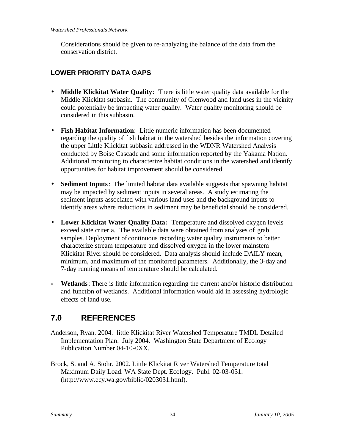Considerations should be given to re-analyzing the balance of the data from the conservation district.

#### **LOWER PRIORITY DATA GAPS**

- **Middle Klickitat Water Quality**: There is little water quality data available for the Middle Klickitat subbasin. The community of Glenwood and land uses in the vicinity could potentially be impacting water quality. Water quality monitoring should be considered in this subbasin.
- **Fish Habitat Information**: Little numeric information has been documented regarding the quality of fish habitat in the watershed besides the information covering the upper Little Klickitat subbasin addressed in the WDNR Watershed Analysis conducted by Boise Cascade and some information reported by the Yakama Nation. Additional monitoring to characterize habitat conditions in the watershed and identify opportunities for habitat improvement should be considered.
- **Sediment Inputs**: The limited habitat data available suggests that spawning habitat may be impacted by sediment inputs in several areas. A study estimating the sediment inputs associated with various land uses and the background inputs to identify areas where reductions in sediment may be beneficial should be considered.
- **Lower Klickitat Water Quality Data:** Temperature and dissolved oxygen levels exceed state criteria. The available data were obtained from analyses of grab samples. Deployment of continuous recording water quality instruments to better characterize stream temperature and dissolved oxygen in the lower mainstem Klickitat River should be considered. Data analysis should include DAILY mean, minimum, and maximum of the monitored parameters. Additionally, the 3-day and 7-day running means of temperature should be calculated.
- **Wetlands**: There is little information regarding the current and/or historic distribution and function of wetlands. Additional information would aid in assessing hydrologic effects of land use.

### **7.0 REFERENCES**

- Anderson, Ryan. 2004. little Klickitat River Watershed Temperature TMDL Detailed Implementation Plan. July 2004. Washington State Department of Ecology Publication Number 04-10-0XX.
- Brock, S. and A. Stohr. 2002. Little Klickitat River Watershed Temperature total Maximum Daily Load. WA State Dept. Ecology. Publ. 02-03-031. (http://www.ecy.wa.gov/biblio/0203031.html).